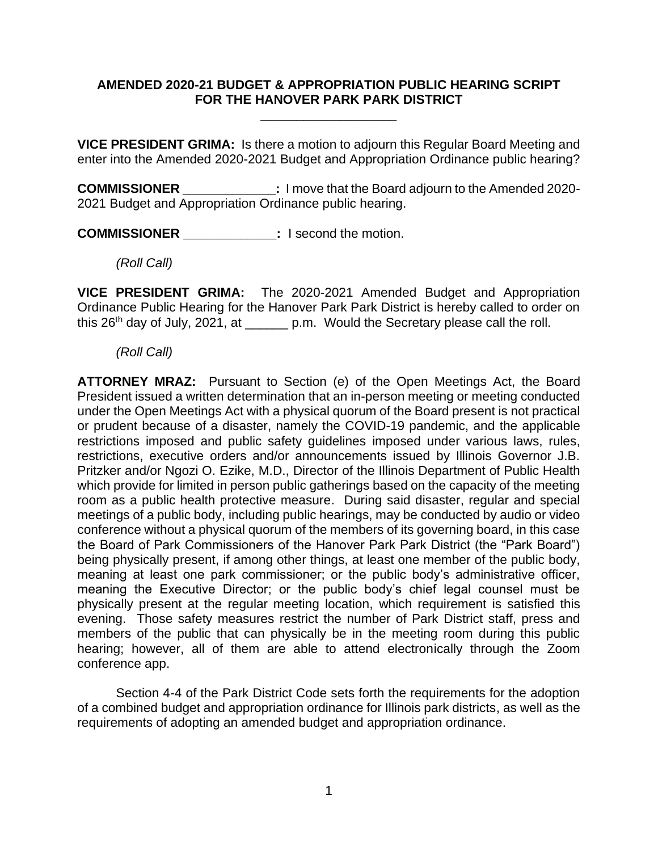## **AMENDED 2020-21 BUDGET & APPROPRIATION PUBLIC HEARING SCRIPT FOR THE HANOVER PARK PARK DISTRICT**

**\_\_\_\_\_\_\_\_\_\_\_\_\_\_\_\_\_\_\_**

**VICE PRESIDENT GRIMA:** Is there a motion to adjourn this Regular Board Meeting and enter into the Amended 2020-2021 Budget and Appropriation Ordinance public hearing?

**COMMISSIONER** 1 move that the Board adjourn to the Amended 2020-2021 Budget and Appropriation Ordinance public hearing.

**COMMISSIONER \_\_\_\_\_\_\_\_\_\_\_\_\_:** I second the motion.

*(Roll Call)*

**VICE PRESIDENT GRIMA:** The 2020-2021 Amended Budget and Appropriation Ordinance Public Hearing for the Hanover Park Park District is hereby called to order on this 26<sup>th</sup> day of July, 2021, at \_\_\_\_\_\_ p.m. Would the Secretary please call the roll.

*(Roll Call)*

**ATTORNEY MRAZ:** Pursuant to Section (e) of the Open Meetings Act, the Board President issued a written determination that an in-person meeting or meeting conducted under the Open Meetings Act with a physical quorum of the Board present is not practical or prudent because of a disaster, namely the COVID-19 pandemic, and the applicable restrictions imposed and public safety guidelines imposed under various laws, rules, restrictions, executive orders and/or announcements issued by Illinois Governor J.B. Pritzker and/or Ngozi O. Ezike, M.D., Director of the Illinois Department of Public Health which provide for limited in person public gatherings based on the capacity of the meeting room as a public health protective measure. During said disaster, regular and special meetings of a public body, including public hearings, may be conducted by audio or video conference without a physical quorum of the members of its governing board, in this case the Board of Park Commissioners of the Hanover Park Park District (the "Park Board") being physically present, if among other things, at least one member of the public body, meaning at least one park commissioner; or the public body's administrative officer, meaning the Executive Director; or the public body's chief legal counsel must be physically present at the regular meeting location, which requirement is satisfied this evening. Those safety measures restrict the number of Park District staff, press and members of the public that can physically be in the meeting room during this public hearing; however, all of them are able to attend electronically through the Zoom conference app.

Section 4-4 of the Park District Code sets forth the requirements for the adoption of a combined budget and appropriation ordinance for Illinois park districts, as well as the requirements of adopting an amended budget and appropriation ordinance.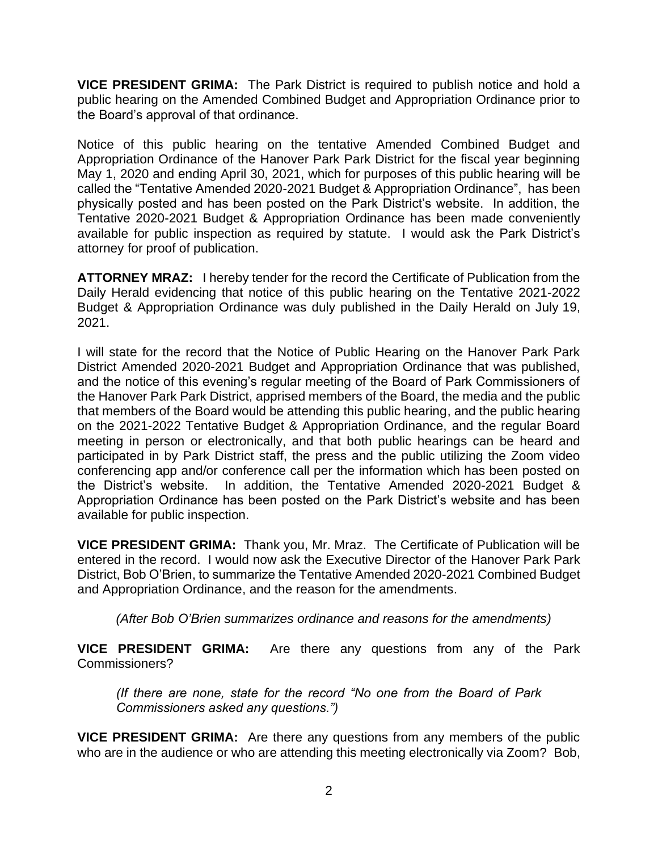**VICE PRESIDENT GRIMA:** The Park District is required to publish notice and hold a public hearing on the Amended Combined Budget and Appropriation Ordinance prior to the Board's approval of that ordinance.

Notice of this public hearing on the tentative Amended Combined Budget and Appropriation Ordinance of the Hanover Park Park District for the fiscal year beginning May 1, 2020 and ending April 30, 2021, which for purposes of this public hearing will be called the "Tentative Amended 2020-2021 Budget & Appropriation Ordinance", has been physically posted and has been posted on the Park District's website. In addition, the Tentative 2020-2021 Budget & Appropriation Ordinance has been made conveniently available for public inspection as required by statute. I would ask the Park District's attorney for proof of publication.

**ATTORNEY MRAZ:** I hereby tender for the record the Certificate of Publication from the Daily Herald evidencing that notice of this public hearing on the Tentative 2021-2022 Budget & Appropriation Ordinance was duly published in the Daily Herald on July 19, 2021.

I will state for the record that the Notice of Public Hearing on the Hanover Park Park District Amended 2020-2021 Budget and Appropriation Ordinance that was published, and the notice of this evening's regular meeting of the Board of Park Commissioners of the Hanover Park Park District, apprised members of the Board, the media and the public that members of the Board would be attending this public hearing, and the public hearing on the 2021-2022 Tentative Budget & Appropriation Ordinance, and the regular Board meeting in person or electronically, and that both public hearings can be heard and participated in by Park District staff, the press and the public utilizing the Zoom video conferencing app and/or conference call per the information which has been posted on the District's website. In addition, the Tentative Amended 2020-2021 Budget & Appropriation Ordinance has been posted on the Park District's website and has been available for public inspection.

**VICE PRESIDENT GRIMA:** Thank you, Mr. Mraz. The Certificate of Publication will be entered in the record. I would now ask the Executive Director of the Hanover Park Park District, Bob O'Brien, to summarize the Tentative Amended 2020-2021 Combined Budget and Appropriation Ordinance, and the reason for the amendments.

*(After Bob O'Brien summarizes ordinance and reasons for the amendments)*

**VICE PRESIDENT GRIMA:** Are there any questions from any of the Park Commissioners?

*(If there are none, state for the record "No one from the Board of Park Commissioners asked any questions.")*

**VICE PRESIDENT GRIMA:** Are there any questions from any members of the public who are in the audience or who are attending this meeting electronically via Zoom? Bob,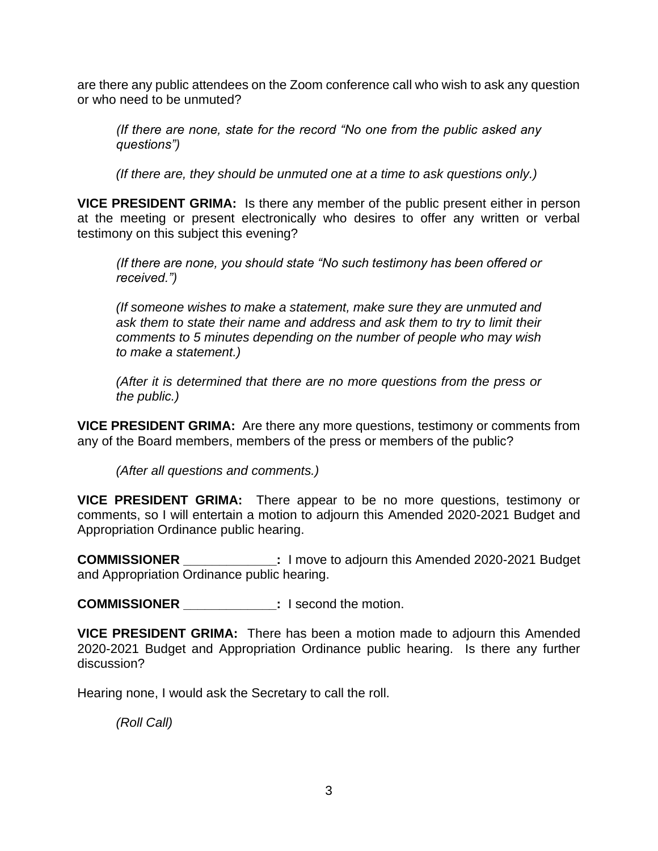are there any public attendees on the Zoom conference call who wish to ask any question or who need to be unmuted?

*(If there are none, state for the record "No one from the public asked any questions")*

*(If there are, they should be unmuted one at a time to ask questions only.)*

**VICE PRESIDENT GRIMA:** Is there any member of the public present either in person at the meeting or present electronically who desires to offer any written or verbal testimony on this subject this evening?

*(If there are none, you should state "No such testimony has been offered or received.")* 

*(If someone wishes to make a statement, make sure they are unmuted and ask them to state their name and address and ask them to try to limit their comments to 5 minutes depending on the number of people who may wish to make a statement.)*

*(After it is determined that there are no more questions from the press or the public.)*

**VICE PRESIDENT GRIMA:** Are there any more questions, testimony or comments from any of the Board members, members of the press or members of the public?

*(After all questions and comments.)*

**VICE PRESIDENT GRIMA:** There appear to be no more questions, testimony or comments, so I will entertain a motion to adjourn this Amended 2020-2021 Budget and Appropriation Ordinance public hearing.

**COMMISSIONER \_\_\_\_\_\_\_\_\_\_\_\_\_:** I move to adjourn this Amended 2020-2021 Budget and Appropriation Ordinance public hearing.

**COMMISSIONER \_\_\_\_\_\_\_\_\_\_\_\_\_:** I second the motion.

**VICE PRESIDENT GRIMA:** There has been a motion made to adjourn this Amended 2020-2021 Budget and Appropriation Ordinance public hearing. Is there any further discussion?

Hearing none, I would ask the Secretary to call the roll.

*(Roll Call)*